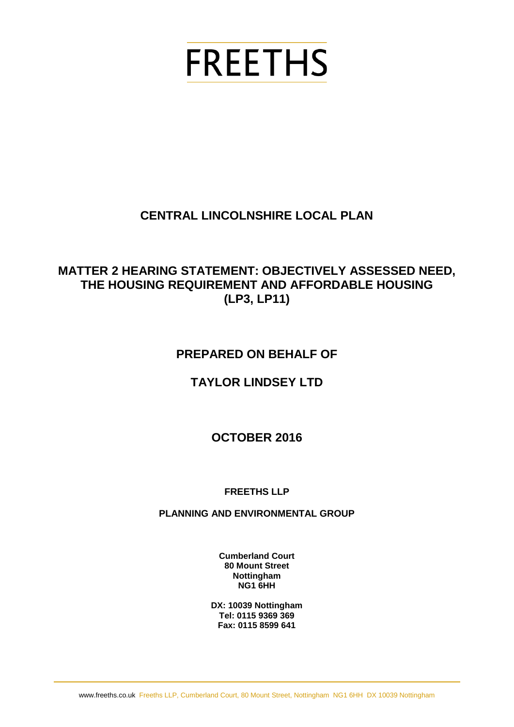# **FREETHS**

# **CENTRAL LINCOLNSHIRE LOCAL PLAN**

## **MATTER 2 HEARING STATEMENT: OBJECTIVELY ASSESSED NEED, THE HOUSING REQUIREMENT AND AFFORDABLE HOUSING (LP3, LP11)**

## **PREPARED ON BEHALF OF**

# **TAYLOR LINDSEY LTD**

## **OCTOBER 2016**

#### **FREETHS LLP**

#### **PLANNING AND ENVIRONMENTAL GROUP**

**Cumberland Court 80 Mount Street Nottingham NG1 6HH**

**DX: 10039 Nottingham Tel: 0115 9369 369 Fax: 0115 8599 641**

www.freeths.co.uk Freeths LLP, Cumberland Court, 80 Mount Street, Nottingham NG1 6HH DX 10039 Nottingham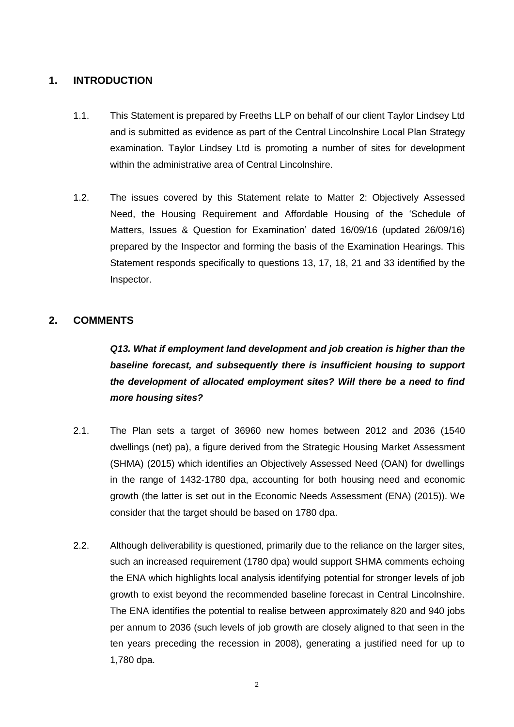#### **1. INTRODUCTION**

- 1.1. This Statement is prepared by Freeths LLP on behalf of our client Taylor Lindsey Ltd and is submitted as evidence as part of the Central Lincolnshire Local Plan Strategy examination. Taylor Lindsey Ltd is promoting a number of sites for development within the administrative area of Central Lincolnshire.
- 1.2. The issues covered by this Statement relate to Matter 2: Objectively Assessed Need, the Housing Requirement and Affordable Housing of the 'Schedule of Matters, Issues & Question for Examination' dated 16/09/16 (updated 26/09/16) prepared by the Inspector and forming the basis of the Examination Hearings. This Statement responds specifically to questions 13, 17, 18, 21 and 33 identified by the Inspector.

#### **2. COMMENTS**

*Q13. What if employment land development and job creation is higher than the baseline forecast, and subsequently there is insufficient housing to support the development of allocated employment sites? Will there be a need to find more housing sites?*

- 2.1. The Plan sets a target of 36960 new homes between 2012 and 2036 (1540 dwellings (net) pa), a figure derived from the Strategic Housing Market Assessment (SHMA) (2015) which identifies an Objectively Assessed Need (OAN) for dwellings in the range of 1432-1780 dpa, accounting for both housing need and economic growth (the latter is set out in the Economic Needs Assessment (ENA) (2015)). We consider that the target should be based on 1780 dpa.
- 2.2. Although deliverability is questioned, primarily due to the reliance on the larger sites, such an increased requirement (1780 dpa) would support SHMA comments echoing the ENA which highlights local analysis identifying potential for stronger levels of job growth to exist beyond the recommended baseline forecast in Central Lincolnshire. The ENA identifies the potential to realise between approximately 820 and 940 jobs per annum to 2036 (such levels of job growth are closely aligned to that seen in the ten years preceding the recession in 2008), generating a justified need for up to 1,780 dpa.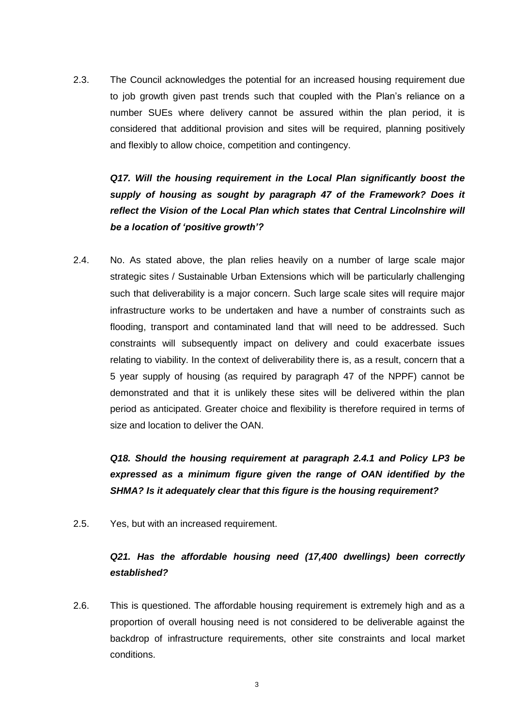2.3. The Council acknowledges the potential for an increased housing requirement due to job growth given past trends such that coupled with the Plan's reliance on a number SUEs where delivery cannot be assured within the plan period, it is considered that additional provision and sites will be required, planning positively and flexibly to allow choice, competition and contingency.

*Q17. Will the housing requirement in the Local Plan significantly boost the supply of housing as sought by paragraph 47 of the Framework? Does it reflect the Vision of the Local Plan which states that Central Lincolnshire will be a location of 'positive growth'?*

2.4. No. As stated above, the plan relies heavily on a number of large scale major strategic sites / Sustainable Urban Extensions which will be particularly challenging such that deliverability is a major concern. Such large scale sites will require major infrastructure works to be undertaken and have a number of constraints such as flooding, transport and contaminated land that will need to be addressed. Such constraints will subsequently impact on delivery and could exacerbate issues relating to viability. In the context of deliverability there is, as a result, concern that a 5 year supply of housing (as required by paragraph 47 of the NPPF) cannot be demonstrated and that it is unlikely these sites will be delivered within the plan period as anticipated. Greater choice and flexibility is therefore required in terms of size and location to deliver the OAN.

*Q18. Should the housing requirement at paragraph 2.4.1 and Policy LP3 be expressed as a minimum figure given the range of OAN identified by the SHMA? Is it adequately clear that this figure is the housing requirement?*

2.5. Yes, but with an increased requirement.

### *Q21. Has the affordable housing need (17,400 dwellings) been correctly established?*

2.6. This is questioned. The affordable housing requirement is extremely high and as a proportion of overall housing need is not considered to be deliverable against the backdrop of infrastructure requirements, other site constraints and local market conditions.